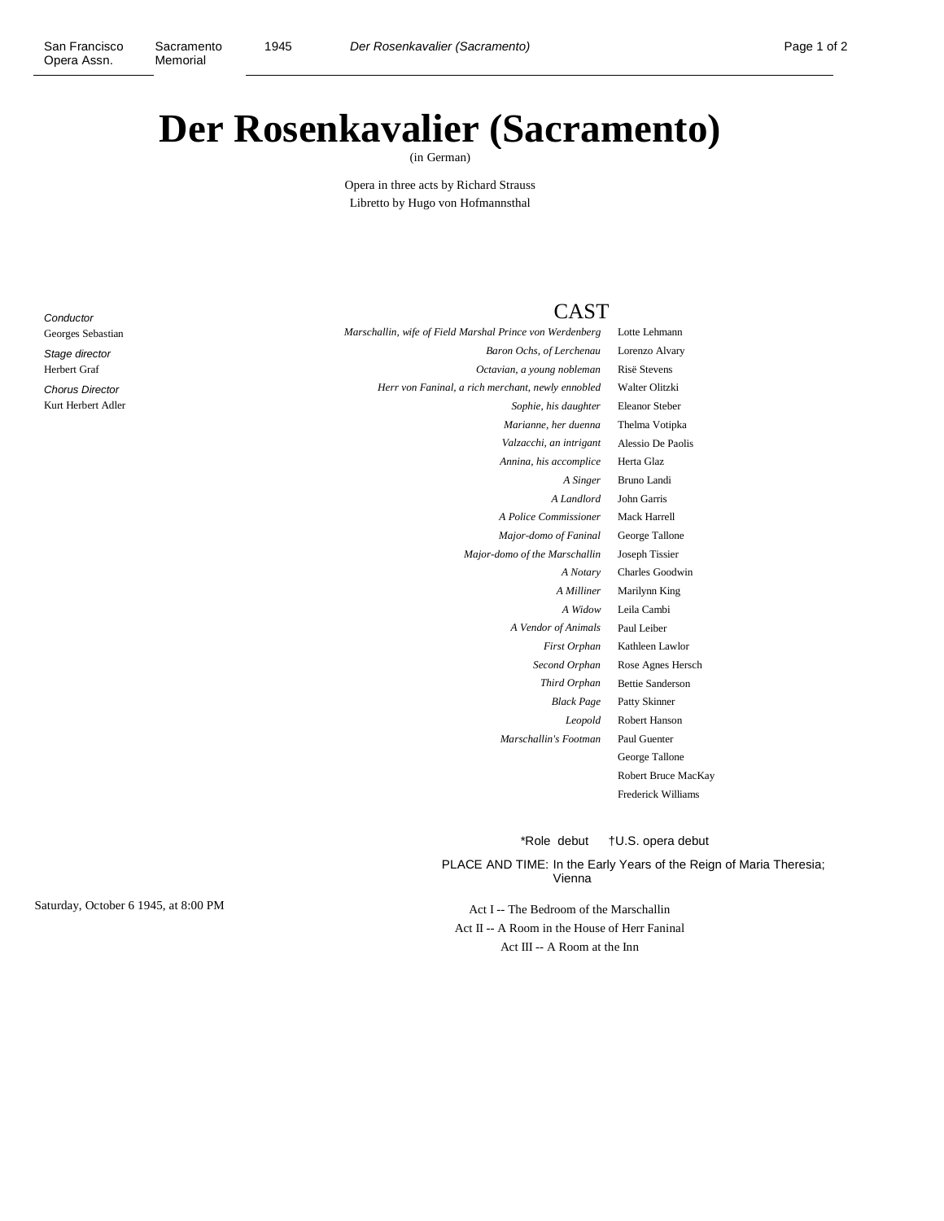## **Der Rosenkavalier (Sacramento)**

(in German)

Opera in three acts by Richard Strauss Libretto by Hugo von Hofmannsthal

**Conductor** Georges Sebastian Stage director Herbert Graf Chorus Director Kurt Herbert Adler

## CAST

| Lotte Lehmann           | Marschallin, wife of Field Marshal Prince von Werdenberg |
|-------------------------|----------------------------------------------------------|
| Lorenzo Alvary          | Baron Ochs, of Lerchenau                                 |
| <b>Risë Stevens</b>     | Octavian, a young nobleman                               |
| Walter Olitzki          | Herr von Faninal, a rich merchant, newly ennobled        |
| <b>Eleanor Steber</b>   | Sophie, his daughter                                     |
| Thelma Votipka          | Marianne, her duenna                                     |
| Alessio De Paolis       | Valzacchi, an intrigant                                  |
| Herta Glaz              | Annina, his accomplice                                   |
| Bruno Landi             | A Singer                                                 |
| John Garris             | A Landlord                                               |
| Mack Harrell            | A Police Commissioner                                    |
| George Tallone          | Major-domo of Faninal                                    |
| Joseph Tissier          | Major-domo of the Marschallin                            |
| <b>Charles Goodwin</b>  | A Notary                                                 |
| Marilynn King           | A Milliner                                               |
| Leila Cambi             | A Widow                                                  |
| Paul Leiber             | A Vendor of Animals                                      |
| Kathleen Lawlor         | First Orphan                                             |
| Rose Agnes Hersch       | Second Orphan                                            |
| <b>Bettie Sanderson</b> | Third Orphan                                             |
| Patty Skinner           | <b>Black Page</b>                                        |
| <b>Robert Hanson</b>    | Leopold                                                  |
| Paul Guenter            | Marschallin's Footman                                    |
| George Tallone          |                                                          |
| Robert Bruce MacI       |                                                          |
| Frederick Williams      |                                                          |

*Marianne, her duenna* Thelma Votipka *Valzacchi, an intrigant* Alessio De Paolis *A Singer* Bruno Landi *A Notary* Charles Goodwin *A Milliner* Marilynn King *A Widow* Leila Cambi awlor *S* Hersch *Thera* Betson *Leopold* llone ce MacKay

\*Role debut †U.S. opera debut

PLACE AND TIME: In the Early Years of the Reign of Maria Theresia; Vienna

Act II -- A Room in the House of Herr Faninal Act III -- A Room at the Inn

Saturday, October 6 1945, at 8:00 PM Act I -- The Bedroom of the Marschallin